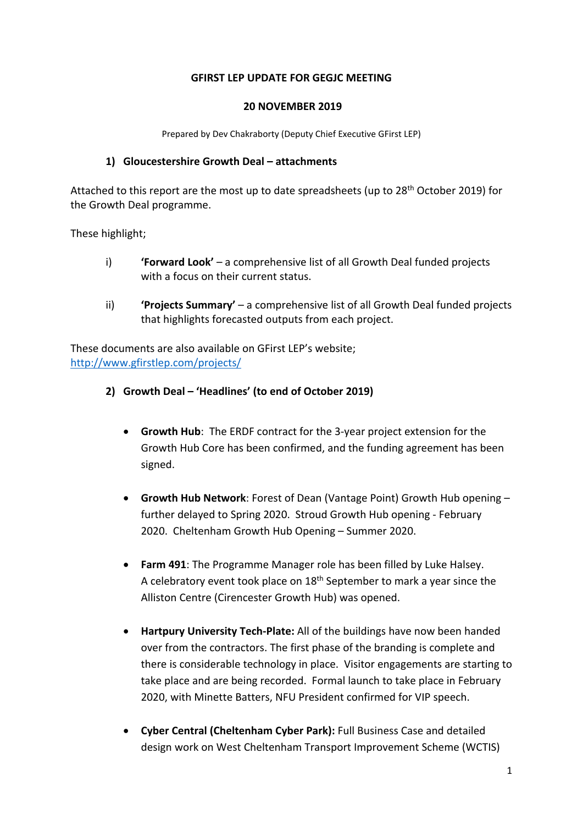#### **GFIRST LEP UPDATE FOR GEGJC MEETING**

#### **20 NOVEMBER 2019**

Prepared by Dev Chakraborty (Deputy Chief Executive GFirst LEP)

#### **1) Gloucestershire Growth Deal – attachments**

Attached to this report are the most up to date spreadsheets (up to 28th October 2019) for the Growth Deal programme.

These highlight;

- i) **'Forward Look'** a comprehensive list of all Growth Deal funded projects with a focus on their current status.
- ii) **'Projects Summary'** a comprehensive list of all Growth Deal funded projects that highlights forecasted outputs from each project.

These documents are also available on GFirst LEP's website; <http://www.gfirstlep.com/projects/>

- **2) Growth Deal – 'Headlines' (to end of October 2019)**
	- **Growth Hub**: The ERDF contract for the 3-year project extension for the Growth Hub Core has been confirmed, and the funding agreement has been signed.
	- **Growth Hub Network**: Forest of Dean (Vantage Point) Growth Hub opening further delayed to Spring 2020. Stroud Growth Hub opening - February 2020. Cheltenham Growth Hub Opening – Summer 2020.
	- **Farm 491**: The Programme Manager role has been filled by Luke Halsey. A celebratory event took place on 18<sup>th</sup> September to mark a year since the Alliston Centre (Cirencester Growth Hub) was opened.
	- **Hartpury University Tech-Plate:** All of the buildings have now been handed over from the contractors. The first phase of the branding is complete and there is considerable technology in place. Visitor engagements are starting to take place and are being recorded. Formal launch to take place in February 2020, with Minette Batters, NFU President confirmed for VIP speech.
	- **Cyber Central (Cheltenham Cyber Park):** Full Business Case and detailed design work on West Cheltenham Transport Improvement Scheme (WCTIS)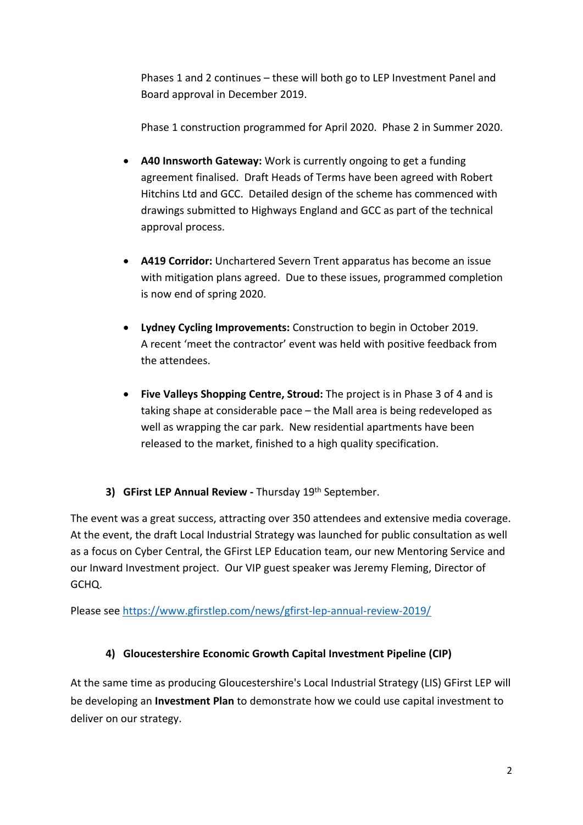Phases 1 and 2 continues – these will both go to LEP Investment Panel and Board approval in December 2019.

Phase 1 construction programmed for April 2020. Phase 2 in Summer 2020.

- **A40 Innsworth Gateway:** Work is currently ongoing to get a funding agreement finalised. Draft Heads of Terms have been agreed with Robert Hitchins Ltd and GCC. Detailed design of the scheme has commenced with drawings submitted to Highways England and GCC as part of the technical approval process.
- **A419 Corridor:** Unchartered Severn Trent apparatus has become an issue with mitigation plans agreed. Due to these issues, programmed completion is now end of spring 2020.
- **Lydney Cycling Improvements:** Construction to begin in October 2019. A recent 'meet the contractor' event was held with positive feedback from the attendees.
- **Five Valleys Shopping Centre, Stroud:** The project is in Phase 3 of 4 and is taking shape at considerable pace – the Mall area is being redeveloped as well as wrapping the car park. New residential apartments have been released to the market, finished to a high quality specification.

### **3) GFirst LEP Annual Review -** Thursday 19th September.

The event was a great success, attracting over 350 attendees and extensive media coverage. At the event, the draft Local Industrial Strategy was launched for public consultation as well as a focus on Cyber Central, the GFirst LEP Education team, our new Mentoring Service and our Inward Investment project. Our VIP guest speaker was Jeremy Fleming, Director of GCHQ.

Please see <https://www.gfirstlep.com/news/gfirst-lep-annual-review-2019/>

# **4) Gloucestershire Economic Growth Capital Investment Pipeline (CIP)**

At the same time as producing Gloucestershire's Local Industrial Strategy (LIS) GFirst LEP will be developing an **Investment Plan** to demonstrate how we could use capital investment to deliver on our strategy.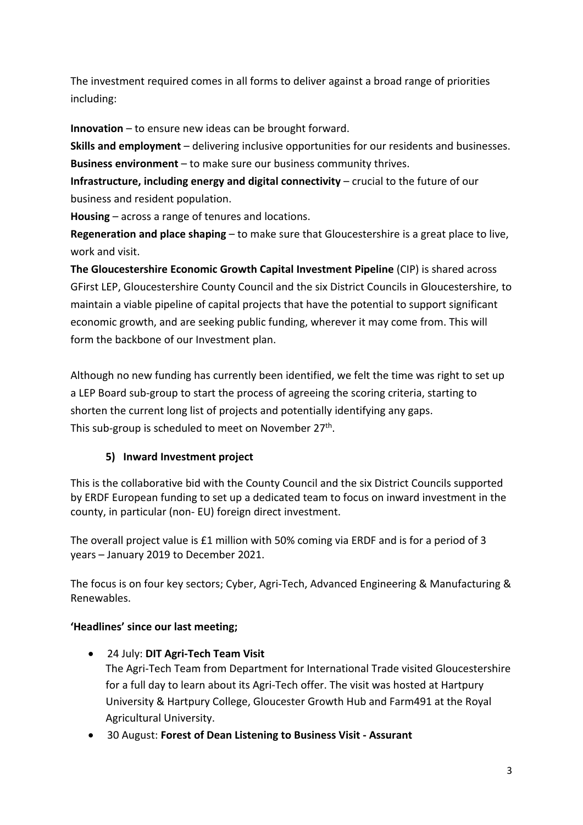The investment required comes in all forms to deliver against a broad range of priorities including:

**Innovation** – to ensure new ideas can be brought forward.

**Skills and employment** – delivering inclusive opportunities for our residents and businesses. **Business environment** – to make sure our business community thrives.

**Infrastructure, including energy and digital connectivity** – crucial to the future of our business and resident population.

**Housing** – across a range of tenures and locations.

**Regeneration and place shaping** – to make sure that Gloucestershire is a great place to live, work and visit.

**The Gloucestershire Economic Growth Capital Investment Pipeline** (CIP) is shared across GFirst LEP, Gloucestershire County Council and the six District Councils in Gloucestershire, to maintain a viable pipeline of capital projects that have the potential to support significant economic growth, and are seeking public funding, wherever it may come from. This will form the backbone of our Investment plan.

Although no new funding has currently been identified, we felt the time was right to set up a LEP Board sub-group to start the process of agreeing the scoring criteria, starting to shorten the current long list of projects and potentially identifying any gaps. This sub-group is scheduled to meet on November 27<sup>th</sup>.

# **5) Inward Investment project**

This is the collaborative bid with the County Council and the six District Councils supported by ERDF European funding to set up a dedicated team to focus on inward investment in the county, in particular (non- EU) foreign direct investment.

The overall project value is £1 million with 50% coming via ERDF and is for a period of 3 years – January 2019 to December 2021.

The focus is on four key sectors; Cyber, Agri-Tech, Advanced Engineering & Manufacturing & Renewables.

# **'Headlines' since our last meeting;**

- 24 July: **DIT Agri-Tech Team Visit** The Agri-Tech Team from Department for International Trade visited Gloucestershire for a full day to learn about its Agri-Tech offer. The visit was hosted at Hartpury University & Hartpury College, Gloucester Growth Hub and Farm491 at the Royal Agricultural University.
- 30 August: **Forest of Dean Listening to Business Visit - Assurant**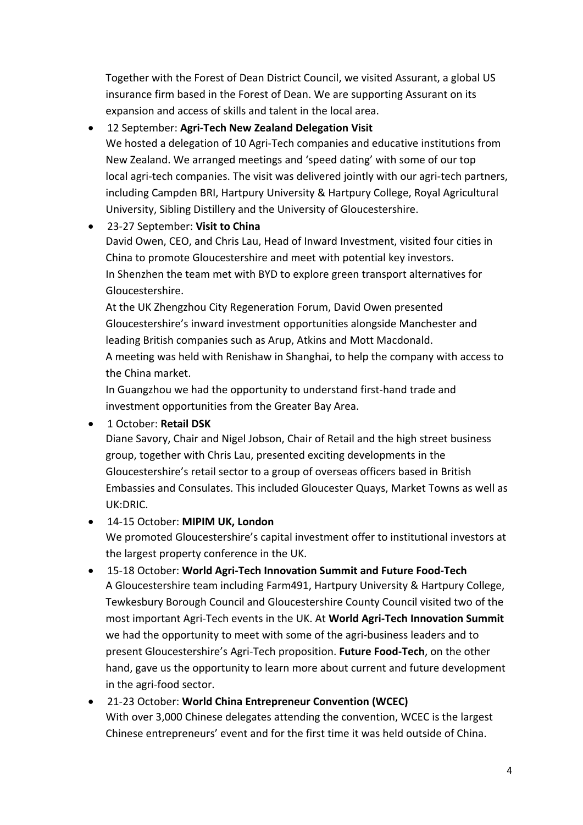Together with the Forest of Dean District Council, we visited Assurant, a global US insurance firm based in the Forest of Dean. We are supporting Assurant on its expansion and access of skills and talent in the local area.

#### 12 September: **Agri-Tech New Zealand Delegation Visit**

We hosted a delegation of 10 Agri-Tech companies and educative institutions from New Zealand. We arranged meetings and 'speed dating' with some of our top local agri-tech companies. The visit was delivered jointly with our agri-tech partners, including Campden BRI, Hartpury University & Hartpury College, Royal Agricultural University, Sibling Distillery and the University of Gloucestershire.

## 23-27 September: **Visit to China**

David Owen, CEO, and Chris Lau, Head of Inward Investment, visited four cities in China to promote Gloucestershire and meet with potential key investors. In Shenzhen the team met with BYD to explore green transport alternatives for Gloucestershire.

At the UK Zhengzhou City Regeneration Forum, David Owen presented Gloucestershire's inward investment opportunities alongside Manchester and leading British companies such as Arup, Atkins and Mott Macdonald. A meeting was held with Renishaw in Shanghai, to help the company with access to the China market.

In Guangzhou we had the opportunity to understand first-hand trade and investment opportunities from the Greater Bay Area.

### 1 October: **Retail DSK**

Diane Savory, Chair and Nigel Jobson, Chair of Retail and the high street business group, together with Chris Lau, presented exciting developments in the Gloucestershire's retail sector to a group of overseas officers based in British Embassies and Consulates. This included Gloucester Quays, Market Towns as well as UK:DRIC.

### 14-15 October: **MIPIM UK, London**

We promoted Gloucestershire's capital investment offer to institutional investors at the largest property conference in the UK.

- 15-18 October: **World Agri-Tech Innovation Summit and Future Food-Tech** A Gloucestershire team including Farm491, Hartpury University & Hartpury College, Tewkesbury Borough Council and Gloucestershire County Council visited two of the most important Agri-Tech events in the UK. At **World Agri-Tech Innovation Summit** we had the opportunity to meet with some of the agri-business leaders and to present Gloucestershire's Agri-Tech proposition. **Future Food-Tech**, on the other hand, gave us the opportunity to learn more about current and future development in the agri-food sector.
- 21-23 October: **World China Entrepreneur Convention (WCEC)** With over 3,000 Chinese delegates attending the convention, WCEC is the largest Chinese entrepreneurs' event and for the first time it was held outside of China.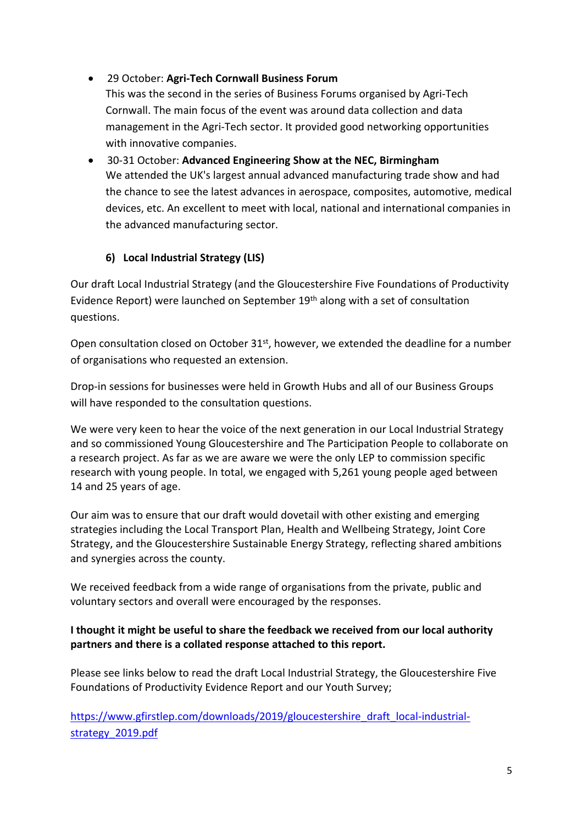### 29 October: **Agri-Tech Cornwall Business Forum**

This was the second in the series of Business Forums organised by Agri-Tech Cornwall. The main focus of the event was around data collection and data management in the Agri-Tech sector. It provided good networking opportunities with innovative companies.

 30-31 October: **Advanced Engineering Show at the NEC, Birmingham** We attended the UK's largest annual advanced manufacturing trade show and had the chance to see the latest advances in aerospace, composites, automotive, medical devices, etc. An excellent to meet with local, national and international companies in the advanced manufacturing sector.

#### **6) Local Industrial Strategy (LIS)**

Our draft Local Industrial Strategy (and the Gloucestershire Five Foundations of Productivity Evidence Report) were launched on September 19th along with a set of consultation questions.

Open consultation closed on October 31<sup>st</sup>, however, we extended the deadline for a number of organisations who requested an extension.

Drop-in sessions for businesses were held in Growth Hubs and all of our Business Groups will have responded to the consultation questions.

We were very keen to hear the voice of the next generation in our Local Industrial Strategy and so commissioned Young Gloucestershire and The Participation People to collaborate on a research project. As far as we are aware we were the only LEP to commission specific research with young people. In total, we engaged with 5,261 young people aged between 14 and 25 years of age.

Our aim was to ensure that our draft would dovetail with other existing and emerging strategies including the Local Transport Plan, Health and Wellbeing Strategy, Joint Core Strategy, and the Gloucestershire Sustainable Energy Strategy, reflecting shared ambitions and synergies across the county.

We received feedback from a wide range of organisations from the private, public and voluntary sectors and overall were encouraged by the responses.

#### **I thought it might be useful to share the feedback we received from our local authority partners and there is a collated response attached to this report.**

Please see links below to read the draft Local Industrial Strategy, the Gloucestershire Five Foundations of Productivity Evidence Report and our Youth Survey;

[https://www.gfirstlep.com/downloads/2019/gloucestershire\\_draft\\_local-industrial](https://www.gfirstlep.com/downloads/2019/gloucestershire_draft_local-industrial-strategy_2019.pdf)[strategy\\_2019.pdf](https://www.gfirstlep.com/downloads/2019/gloucestershire_draft_local-industrial-strategy_2019.pdf)